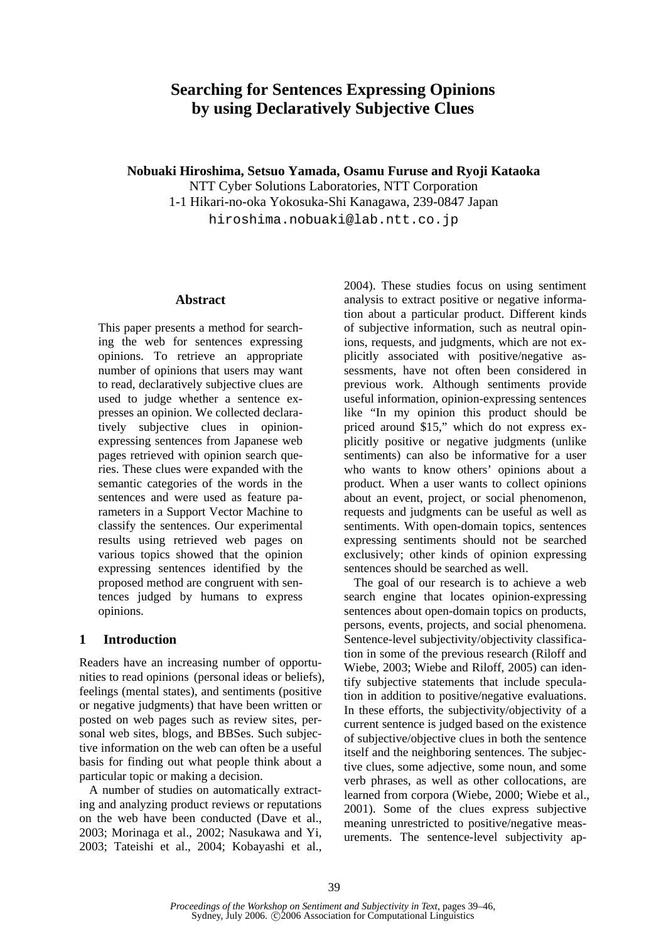# **Searching for Sentences Expressing Opinions by using Declaratively Subjective Clues**

**Nobuaki Hiroshima, Setsuo Yamada, Osamu Furuse and Ryoji Kataoka** 

NTT Cyber Solutions Laboratories, NTT Corporation 1-1 Hikari-no-oka Yokosuka-Shi Kanagawa, 239-0847 Japan hiroshima.nobuaki@lab.ntt.co.jp

### **Abstract**

This paper presents a method for searching the web for sentences expressing opinions. To retrieve an appropriate number of opinions that users may want to read, declaratively subjective clues are used to judge whether a sentence expresses an opinion. We collected declaratively subjective clues in opinionexpressing sentences from Japanese web pages retrieved with opinion search queries. These clues were expanded with the semantic categories of the words in the sentences and were used as feature parameters in a Support Vector Machine to classify the sentences. Our experimental results using retrieved web pages on various topics showed that the opinion expressing sentences identified by the proposed method are congruent with sentences judged by humans to express opinions.

# **1 Introduction**

Readers have an increasing number of opportunities to read opinions (personal ideas or beliefs), feelings (mental states), and sentiments (positive or negative judgments) that have been written or posted on web pages such as review sites, personal web sites, blogs, and BBSes. Such subjective information on the web can often be a useful basis for finding out what people think about a particular topic or making a decision.

A number of studies on automatically extracting and analyzing product reviews or reputations on the web have been conducted (Dave et al., 2003; Morinaga et al., 2002; Nasukawa and Yi, 2003; Tateishi et al., 2004; Kobayashi et al.,

2004). These studies focus on using sentiment analysis to extract positive or negative information about a particular product. Different kinds of subjective information, such as neutral opinions, requests, and judgments, which are not explicitly associated with positive/negative assessments, have not often been considered in previous work. Although sentiments provide useful information, opinion-expressing sentences like "In my opinion this product should be priced around \$15," which do not express explicitly positive or negative judgments (unlike sentiments) can also be informative for a user who wants to know others' opinions about a product. When a user wants to collect opinions about an event, project, or social phenomenon, requests and judgments can be useful as well as sentiments. With open-domain topics, sentences expressing sentiments should not be searched exclusively; other kinds of opinion expressing sentences should be searched as well.

The goal of our research is to achieve a web search engine that locates opinion-expressing sentences about open-domain topics on products, persons, events, projects, and social phenomena. Sentence-level subjectivity/objectivity classification in some of the previous research (Riloff and Wiebe, 2003; Wiebe and Riloff, 2005) can identify subjective statements that include speculation in addition to positive/negative evaluations. In these efforts, the subjectivity/objectivity of a current sentence is judged based on the existence of subjective/objective clues in both the sentence itself and the neighboring sentences. The subjective clues, some adjective, some noun, and some verb phrases, as well as other collocations, are learned from corpora (Wiebe, 2000; Wiebe et al., 2001). Some of the clues express subjective meaning unrestricted to positive/negative measurements. The sentence-level subjectivity ap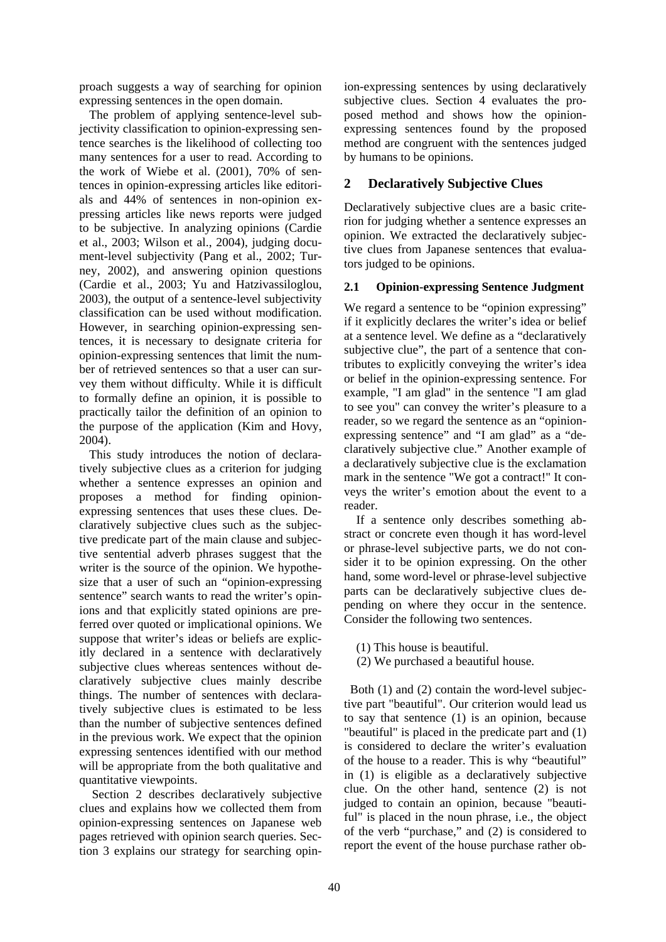proach suggests a way of searching for opinion expressing sentences in the open domain.

The problem of applying sentence-level subjectivity classification to opinion-expressing sentence searches is the likelihood of collecting too many sentences for a user to read. According to the work of Wiebe et al. (2001), 70% of sentences in opinion-expressing articles like editorials and 44% of sentences in non-opinion expressing articles like news reports were judged to be subjective. In analyzing opinions (Cardie et al., 2003; Wilson et al., 2004), judging document-level subjectivity (Pang et al., 2002; Turney, 2002), and answering opinion questions (Cardie et al., 2003; Yu and Hatzivassiloglou, 2003), the output of a sentence-level subjectivity classification can be used without modification. However, in searching opinion-expressing sentences, it is necessary to designate criteria for opinion-expressing sentences that limit the number of retrieved sentences so that a user can survey them without difficulty. While it is difficult to formally define an opinion, it is possible to practically tailor the definition of an opinion to the purpose of the application (Kim and Hovy, 2004).

This study introduces the notion of declaratively subjective clues as a criterion for judging whether a sentence expresses an opinion and proposes a method for finding opinionexpressing sentences that uses these clues. Declaratively subjective clues such as the subjective predicate part of the main clause and subjective sentential adverb phrases suggest that the writer is the source of the opinion. We hypothesize that a user of such an "opinion-expressing sentence" search wants to read the writer's opinions and that explicitly stated opinions are preferred over quoted or implicational opinions. We suppose that writer's ideas or beliefs are explicitly declared in a sentence with declaratively subjective clues whereas sentences without declaratively subjective clues mainly describe things. The number of sentences with declaratively subjective clues is estimated to be less than the number of subjective sentences defined in the previous work. We expect that the opinion expressing sentences identified with our method will be appropriate from the both qualitative and quantitative viewpoints.

Section 2 describes declaratively subjective clues and explains how we collected them from opinion-expressing sentences on Japanese web pages retrieved with opinion search queries. Section 3 explains our strategy for searching opinion-expressing sentences by using declaratively subjective clues. Section 4 evaluates the proposed method and shows how the opinionexpressing sentences found by the proposed method are congruent with the sentences judged by humans to be opinions.

# **2 Declaratively Subjective Clues**

Declaratively subjective clues are a basic criterion for judging whether a sentence expresses an opinion. We extracted the declaratively subjective clues from Japanese sentences that evaluators judged to be opinions.

### **2.1 Opinion-expressing Sentence Judgment**

We regard a sentence to be "opinion expressing" if it explicitly declares the writer's idea or belief at a sentence level. We define as a "declaratively subjective clue", the part of a sentence that contributes to explicitly conveying the writer's idea or belief in the opinion-expressing sentence. For example, "I am glad" in the sentence "I am glad to see you" can convey the writer's pleasure to a reader, so we regard the sentence as an "opinionexpressing sentence" and "I am glad" as a "declaratively subjective clue." Another example of a declaratively subjective clue is the exclamation mark in the sentence "We got a contract!" It conveys the writer's emotion about the event to a reader.

If a sentence only describes something abstract or concrete even though it has word-level or phrase-level subjective parts, we do not consider it to be opinion expressing. On the other hand, some word-level or phrase-level subjective parts can be declaratively subjective clues depending on where they occur in the sentence. Consider the following two sentences.

- (1) This house is beautiful.
- (2) We purchased a beautiful house.

Both (1) and (2) contain the word-level subjective part "beautiful". Our criterion would lead us to say that sentence (1) is an opinion, because "beautiful" is placed in the predicate part and (1) is considered to declare the writer's evaluation of the house to a reader. This is why "beautiful" in (1) is eligible as a declaratively subjective clue. On the other hand, sentence (2) is not judged to contain an opinion, because "beautiful" is placed in the noun phrase, i.e., the object of the verb "purchase," and (2) is considered to report the event of the house purchase rather ob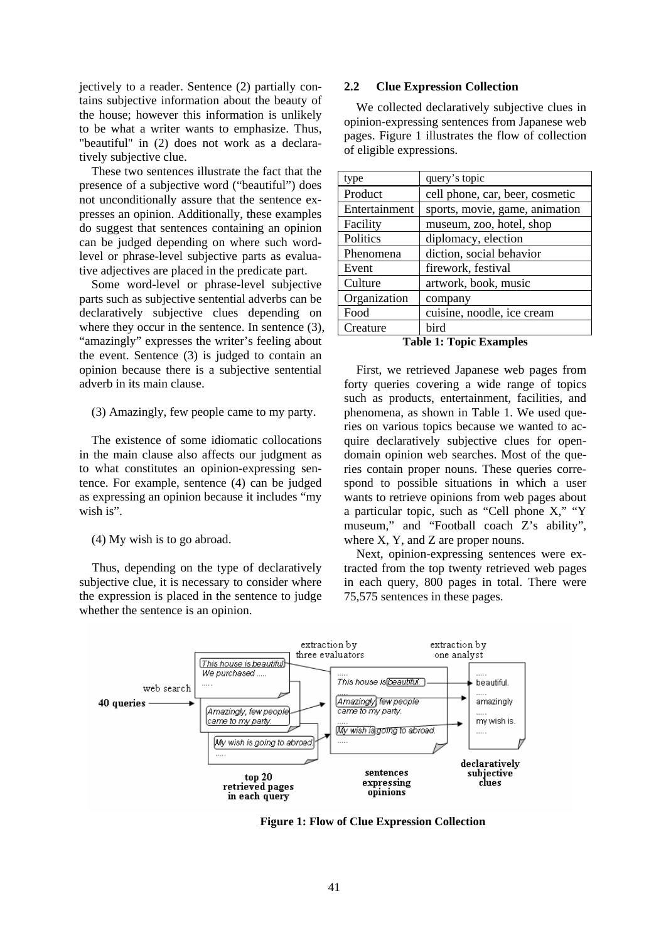jectively to a reader. Sentence (2) partially contains subjective information about the beauty of the house; however this information is unlikely to be what a writer wants to emphasize. Thus, "beautiful" in (2) does not work as a declaratively subjective clue.

These two sentences illustrate the fact that the presence of a subjective word ("beautiful") does not unconditionally assure that the sentence expresses an opinion. Additionally, these examples do suggest that sentences containing an opinion can be judged depending on where such wordlevel or phrase-level subjective parts as evaluative adjectives are placed in the predicate part.

Some word-level or phrase-level subjective parts such as subjective sentential adverbs can be declaratively subjective clues depending on where they occur in the sentence. In sentence (3), "amazingly" expresses the writer's feeling about the event. Sentence (3) is judged to contain an opinion because there is a subjective sentential adverb in its main clause.

#### (3) Amazingly, few people came to my party.

The existence of some idiomatic collocations in the main clause also affects our judgment as to what constitutes an opinion-expressing sentence. For example, sentence (4) can be judged as expressing an opinion because it includes "my wish is".

(4) My wish is to go abroad.

Thus, depending on the type of declaratively subjective clue, it is necessary to consider where the expression is placed in the sentence to judge whether the sentence is an opinion.

#### **2.2 Clue Expression Collection**

We collected declaratively subjective clues in opinion-expressing sentences from Japanese web pages. Figure 1 illustrates the flow of collection of eligible expressions.

| type          | query's topic                   |
|---------------|---------------------------------|
| Product       | cell phone, car, beer, cosmetic |
| Entertainment | sports, movie, game, animation  |
| Facility      | museum, zoo, hotel, shop        |
| Politics      | diplomacy, election             |
| Phenomena     | diction, social behavior        |
| Event         | firework, festival              |
| Culture       | artwork, book, music            |
| Organization  | company                         |
| Food          | cuisine, noodle, ice cream      |
| Creature      | bird                            |

**Table 1: Topic Examples** 

First, we retrieved Japanese web pages from forty queries covering a wide range of topics such as products, entertainment, facilities, and phenomena, as shown in Table 1. We used queries on various topics because we wanted to acquire declaratively subjective clues for opendomain opinion web searches. Most of the queries contain proper nouns. These queries correspond to possible situations in which a user wants to retrieve opinions from web pages about a particular topic, such as "Cell phone X," "Y museum," and "Football coach Z's ability", where X, Y, and Z are proper nouns.

Next, opinion-expressing sentences were extracted from the top twenty retrieved web pages in each query, 800 pages in total. There were 75,575 sentences in these pages.



**Figure 1: Flow of Clue Expression Collection**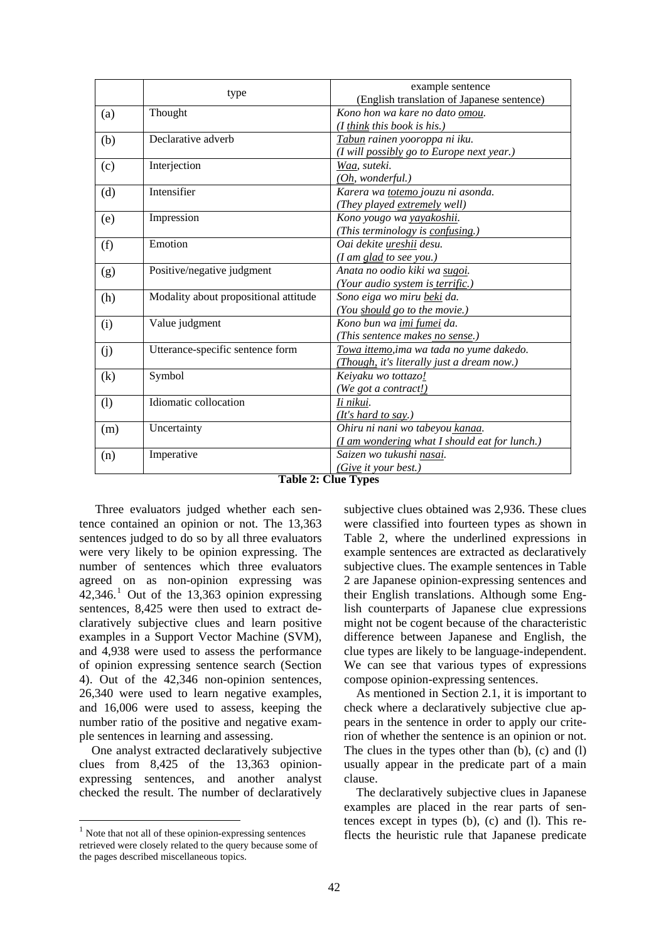|     |                                       | example sentence                              |  |  |  |
|-----|---------------------------------------|-----------------------------------------------|--|--|--|
|     | type                                  | (English translation of Japanese sentence)    |  |  |  |
| (a) | Thought                               | Kono hon wa kare no dato omou.                |  |  |  |
|     |                                       | $(I$ think this book is his.)                 |  |  |  |
| (b) | Declarative adverb                    | Tabun rainen yooroppa ni iku.                 |  |  |  |
|     |                                       | (I will possibly go to Europe next year.)     |  |  |  |
| (c) | Interjection                          | Waa, suteki.                                  |  |  |  |
|     |                                       | (Oh, wonderful.)                              |  |  |  |
| (d) | Intensifier                           | Karera wa totemo jouzu ni asonda.             |  |  |  |
|     |                                       | (They played extremely well)                  |  |  |  |
| (e) | Impression                            | Kono yougo wa yayakoshii.                     |  |  |  |
|     |                                       | (This terminology is confusing.)              |  |  |  |
| (f) | Emotion                               | Oai dekite ureshii desu.                      |  |  |  |
|     |                                       | (I am glad to see you.)                       |  |  |  |
| (g) | Positive/negative judgment            | Anata no oodio kiki wa sugoi.                 |  |  |  |
|     |                                       | (Your audio system is terrific.)              |  |  |  |
| (h) | Modality about propositional attitude | Sono eiga wo miru beki da.                    |  |  |  |
|     |                                       | (You should go to the movie.)                 |  |  |  |
| (i) | Value judgment                        | Kono bun wa imi fumei da.                     |  |  |  |
|     |                                       | (This sentence makes no sense.)               |  |  |  |
| (j) | Utterance-specific sentence form      | Towa ittemo, ima wa tada no yume dakedo.      |  |  |  |
|     |                                       | (Though, it's literally just a dream now.)    |  |  |  |
| (k) | Symbol                                | Keiyaku wo tottazo!                           |  |  |  |
|     |                                       | (We got a contract!)                          |  |  |  |
| (1) | Idiomatic collocation                 | Ii nikui.                                     |  |  |  |
|     |                                       | (It's hard to say.)                           |  |  |  |
| (m) | Uncertainty                           | Ohiru ni nani wo tabeyou kanaa.               |  |  |  |
|     |                                       | (I am wondering what I should eat for lunch.) |  |  |  |
| (n) | Imperative                            | Saizen wo tukushi nasai.                      |  |  |  |
|     |                                       | (Give it your best.)                          |  |  |  |

**Table 2: Clue Types**

 Three evaluators judged whether each sentence contained an opinion or not. The 13,363 sentences judged to do so by all three evaluators were very likely to be opinion expressing. The number of sentences which three evaluators agreed on as non-opinion expressing was  $42,346$ .<sup>1</sup> Out of the 13,363 opinion expressing sentences, 8,425 were then used to extract declaratively subjective clues and learn positive examples in a Support Vector Machine (SVM), and 4,938 were used to assess the performance of opinion expressing sentence search (Section 4). Out of the 42,346 non-opinion sentences, 26,340 were used to learn negative examples, and 16,006 were used to assess, keeping the number ratio of the positive and negative example sentences in learning and assessing.

One analyst extracted declaratively subjective clues from 8,425 of the 13,363 opinionexpressing sentences, and another analyst checked the result. The number of declaratively

subjective clues obtained was 2,936. These clues were classified into fourteen types as shown in Table 2, where the underlined expressions in example sentences are extracted as declaratively subjective clues. The example sentences in Table 2 are Japanese opinion-expressing sentences and their English translations. Although some English counterparts of Japanese clue expressions might not be cogent because of the characteristic difference between Japanese and English, the clue types are likely to be language-independent. We can see that various types of expressions compose opinion-expressing sentences.

As mentioned in Section 2.1, it is important to check where a declaratively subjective clue appears in the sentence in order to apply our criterion of whether the sentence is an opinion or not. The clues in the types other than (b), (c) and (l) usually appear in the predicate part of a main clause.

The declaratively subjective clues in Japanese examples are placed in the rear parts of sentences except in types (b), (c) and (l). This reflects the heuristic rule that Japanese predicate

 $<sup>1</sup>$  Note that not all of these opinion-expressing sentences</sup> retrieved were closely related to the query because some of the pages described miscellaneous topics.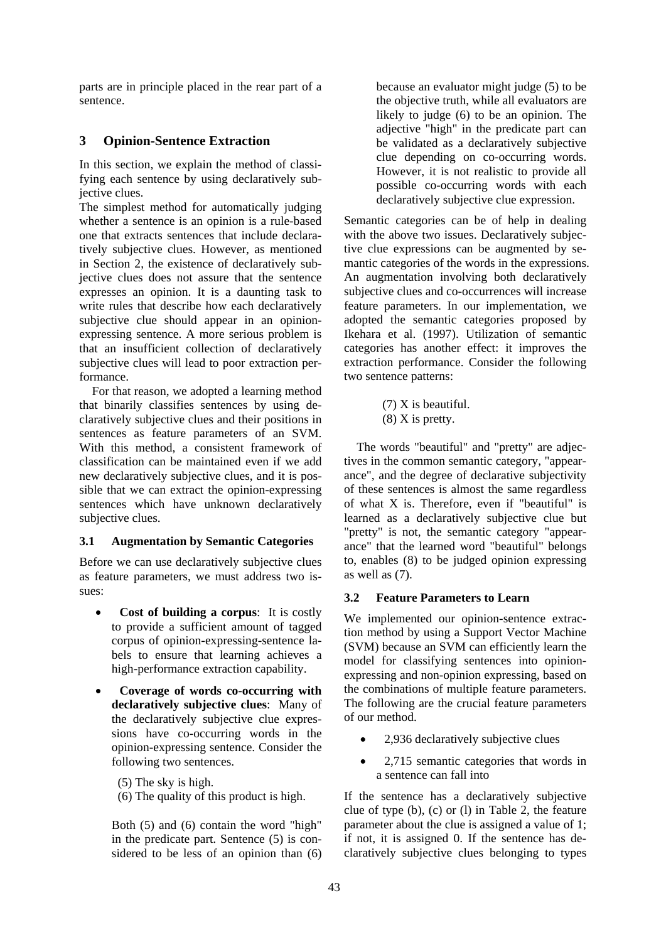parts are in principle placed in the rear part of a sentence.

# **3 Opinion-Sentence Extraction**

In this section, we explain the method of classifying each sentence by using declaratively subjective clues.

The simplest method for automatically judging whether a sentence is an opinion is a rule-based one that extracts sentences that include declaratively subjective clues. However, as mentioned in Section 2, the existence of declaratively subjective clues does not assure that the sentence expresses an opinion. It is a daunting task to write rules that describe how each declaratively subjective clue should appear in an opinionexpressing sentence. A more serious problem is that an insufficient collection of declaratively subjective clues will lead to poor extraction performance.

For that reason, we adopted a learning method that binarily classifies sentences by using declaratively subjective clues and their positions in sentences as feature parameters of an SVM. With this method, a consistent framework of classification can be maintained even if we add new declaratively subjective clues, and it is possible that we can extract the opinion-expressing sentences which have unknown declaratively subjective clues.

# **3.1 Augmentation by Semantic Categories**

Before we can use declaratively subjective clues as feature parameters, we must address two issues:

- **Cost of building a corpus**: It is costly to provide a sufficient amount of tagged corpus of opinion-expressing-sentence labels to ensure that learning achieves a high-performance extraction capability.
- **Coverage of words co-occurring with declaratively subjective clues**: Many of the declaratively subjective clue expressions have co-occurring words in the opinion-expressing sentence. Consider the following two sentences.

(5) The sky is high.

(6) The quality of this product is high.

Both (5) and (6) contain the word "high" in the predicate part. Sentence (5) is considered to be less of an opinion than (6)

because an evaluator might judge (5) to be the objective truth, while all evaluators are likely to judge (6) to be an opinion. The adjective "high" in the predicate part can be validated as a declaratively subjective clue depending on co-occurring words. However, it is not realistic to provide all possible co-occurring words with each declaratively subjective clue expression.

Semantic categories can be of help in dealing with the above two issues. Declaratively subjective clue expressions can be augmented by semantic categories of the words in the expressions. An augmentation involving both declaratively subjective clues and co-occurrences will increase feature parameters. In our implementation, we adopted the semantic categories proposed by Ikehara et al. (1997). Utilization of semantic categories has another effect: it improves the extraction performance. Consider the following two sentence patterns:

> (7) X is beautiful.  $(8)$  X is pretty.

The words "beautiful" and "pretty" are adjectives in the common semantic category, "appearance", and the degree of declarative subjectivity of these sentences is almost the same regardless of what X is. Therefore, even if "beautiful" is learned as a declaratively subjective clue but "pretty" is not, the semantic category "appearance" that the learned word "beautiful" belongs to, enables (8) to be judged opinion expressing as well as (7).

# **3.2 Feature Parameters to Learn**

We implemented our opinion-sentence extraction method by using a Support Vector Machine (SVM) because an SVM can efficiently learn the model for classifying sentences into opinionexpressing and non-opinion expressing, based on the combinations of multiple feature parameters. The following are the crucial feature parameters of our method.

- 2,936 declaratively subjective clues
- 2,715 semantic categories that words in a sentence can fall into

If the sentence has a declaratively subjective clue of type (b), (c) or (l) in Table 2, the feature parameter about the clue is assigned a value of 1; if not, it is assigned 0. If the sentence has declaratively subjective clues belonging to types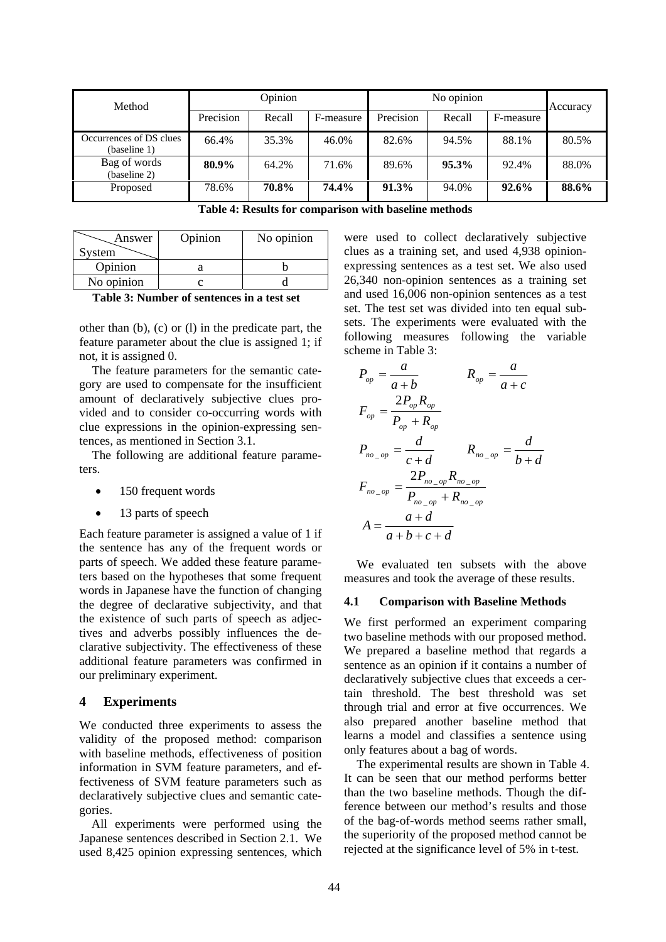| Method                                  | Opinion   |        |           | No opinion |        |           | Accuracy |
|-----------------------------------------|-----------|--------|-----------|------------|--------|-----------|----------|
|                                         | Precision | Recall | F-measure | Precision  | Recall | F-measure |          |
| Occurrences of DS clues<br>(baseline 1) | 66.4%     | 35.3%  | 46.0%     | 82.6%      | 94.5%  | 88.1%     | 80.5%    |
| Bag of words<br>(baseline 2)            | 80.9%     | 64.2%  | 71.6%     | 89.6%      | 95.3%  | 92.4%     | 88.0%    |
| Proposed                                | 78.6%     | 70.8%  | 74.4%     | 91.3%      | 94.0%  | 92.6%     | 88.6%    |

**Table 4: Results for comparison with baseline methods** 

| Answer<br>System | Opinion | No opinion |
|------------------|---------|------------|
| Opinion          |         |            |
| No opinion       |         |            |

**Table 3: Number of sentences in a test set** 

other than (b), (c) or (l) in the predicate part, the feature parameter about the clue is assigned 1; if not, it is assigned 0.

The feature parameters for the semantic category are used to compensate for the insufficient amount of declaratively subjective clues provided and to consider co-occurring words with clue expressions in the opinion-expressing sentences, as mentioned in Section 3.1.

The following are additional feature parameters.

- 150 frequent words
- 13 parts of speech

Each feature parameter is assigned a value of 1 if the sentence has any of the frequent words or parts of speech. We added these feature parameters based on the hypotheses that some frequent words in Japanese have the function of changing the degree of declarative subjectivity, and that the existence of such parts of speech as adjectives and adverbs possibly influences the declarative subjectivity. The effectiveness of these additional feature parameters was confirmed in our preliminary experiment.

#### **4 Experiments**

We conducted three experiments to assess the validity of the proposed method: comparison with baseline methods, effectiveness of position information in SVM feature parameters, and effectiveness of SVM feature parameters such as declaratively subjective clues and semantic categories.

All experiments were performed using the Japanese sentences described in Section 2.1. We used 8,425 opinion expressing sentences, which

were used to collect declaratively subjective clues as a training set, and used 4,938 opinionexpressing sentences as a test set. We also used 26,340 non-opinion sentences as a training set and used 16,006 non-opinion sentences as a test set. The test set was divided into ten equal subsets. The experiments were evaluated with the following measures following the variable scheme in Table 3:

$$
P_{op} = \frac{a}{a+b} \qquad R_{op} = \frac{a}{a+c}
$$
  
\n
$$
F_{op} = \frac{2P_{op}R_{op}}{P_{op} + R_{op}}
$$
  
\n
$$
P_{no\_op} = \frac{d}{c+d} \qquad R_{no\_op} = \frac{d}{b+d}
$$
  
\n
$$
F_{no\_op} = \frac{2P_{no\_op}R_{no\_op}}{P_{no\_op} + R_{no\_op}}
$$
  
\n
$$
A = \frac{a+d}{a+b+c+d}
$$

We evaluated ten subsets with the above measures and took the average of these results.

#### **4.1 Comparison with Baseline Methods**

We first performed an experiment comparing two baseline methods with our proposed method. We prepared a baseline method that regards a sentence as an opinion if it contains a number of declaratively subjective clues that exceeds a certain threshold. The best threshold was set through trial and error at five occurrences. We also prepared another baseline method that learns a model and classifies a sentence using only features about a bag of words.

The experimental results are shown in Table 4. It can be seen that our method performs better than the two baseline methods. Though the difference between our method's results and those of the bag-of-words method seems rather small, the superiority of the proposed method cannot be rejected at the significance level of 5% in t-test.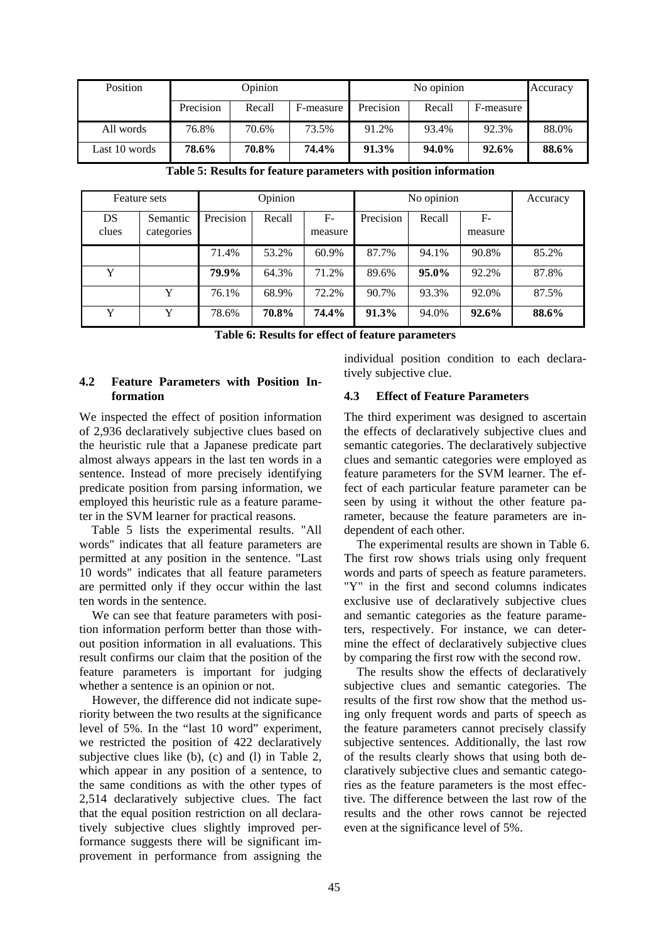| Position      | Opinion   |        |           | No opinion |        |           | Accuracy |
|---------------|-----------|--------|-----------|------------|--------|-----------|----------|
|               | Precision | Recall | F-measure | Precision  | Recall | F-measure |          |
| All words     | 76.8%     | 70.6%  | 73.5%     | 91.2%      | 93.4%  | 92.3%     | 88.0%    |
| Last 10 words | 78.6%     | 70.8%  | 74.4%     | 91.3%      | 94.0%  | 92.6%     | 88.6%    |

**Table 5: Results for feature parameters with position information** 

|             | Feature sets           | Opinion   |        | No opinion      |           |          | Accuracy        |       |
|-------------|------------------------|-----------|--------|-----------------|-----------|----------|-----------------|-------|
| DS<br>clues | Semantic<br>categories | Precision | Recall | $F-$<br>measure | Precision | Recall   | $F-$<br>measure |       |
|             |                        | 71.4%     | 53.2%  | 60.9%           | 87.7%     | 94.1%    | 90.8%           | 85.2% |
| Y           |                        | 79.9%     | 64.3%  | 71.2%           | 89.6%     | $95.0\%$ | 92.2%           | 87.8% |
|             | Y                      | 76.1%     | 68.9%  | 72.2%           | 90.7%     | 93.3%    | 92.0%           | 87.5% |
| Y           | Y                      | 78.6%     | 70.8%  | 74.4%           | 91.3%     | 94.0%    | 92.6%           | 88.6% |

**Table 6: Results for effect of feature parameters** 

### **4.2 Feature Parameters with Position Information**

We inspected the effect of position information of 2,936 declaratively subjective clues based on the heuristic rule that a Japanese predicate part almost always appears in the last ten words in a sentence. Instead of more precisely identifying predicate position from parsing information, we employed this heuristic rule as a feature parameter in the SVM learner for practical reasons.

Table 5 lists the experimental results. "All words" indicates that all feature parameters are permitted at any position in the sentence. "Last 10 words" indicates that all feature parameters are permitted only if they occur within the last ten words in the sentence.

We can see that feature parameters with position information perform better than those without position information in all evaluations. This result confirms our claim that the position of the feature parameters is important for judging whether a sentence is an opinion or not.

However, the difference did not indicate superiority between the two results at the significance level of 5%. In the "last 10 word" experiment, we restricted the position of 422 declaratively subjective clues like (b), (c) and (l) in Table 2, which appear in any position of a sentence, to the same conditions as with the other types of 2,514 declaratively subjective clues. The fact that the equal position restriction on all declaratively subjective clues slightly improved performance suggests there will be significant improvement in performance from assigning the

individual position condition to each declaratively subjective clue.

### **4.3 Effect of Feature Parameters**

The third experiment was designed to ascertain the effects of declaratively subjective clues and semantic categories. The declaratively subjective clues and semantic categories were employed as feature parameters for the SVM learner. The effect of each particular feature parameter can be seen by using it without the other feature parameter, because the feature parameters are independent of each other.

The experimental results are shown in Table 6. The first row shows trials using only frequent words and parts of speech as feature parameters. "Y" in the first and second columns indicates exclusive use of declaratively subjective clues and semantic categories as the feature parameters, respectively. For instance, we can determine the effect of declaratively subjective clues by comparing the first row with the second row.

The results show the effects of declaratively subjective clues and semantic categories. The results of the first row show that the method using only frequent words and parts of speech as the feature parameters cannot precisely classify subjective sentences. Additionally, the last row of the results clearly shows that using both declaratively subjective clues and semantic categories as the feature parameters is the most effective. The difference between the last row of the results and the other rows cannot be rejected even at the significance level of 5%.